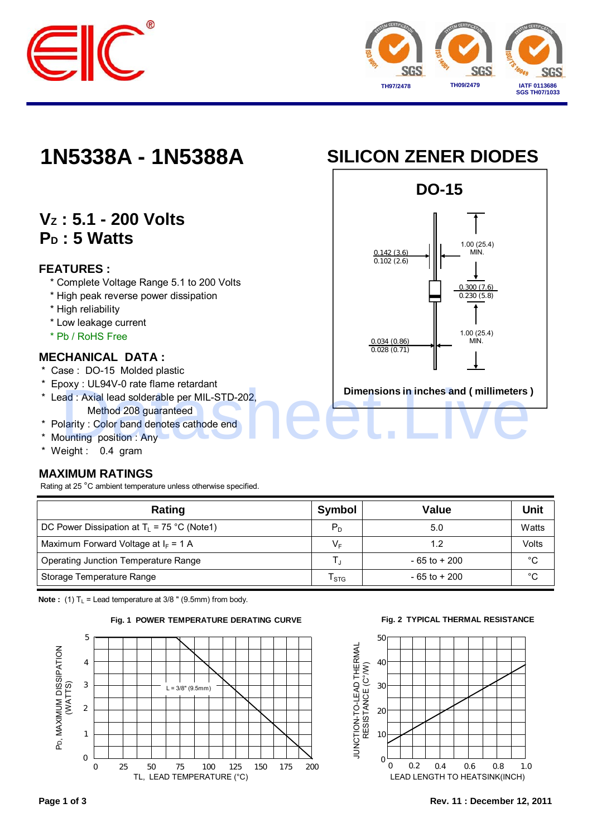





Rating at 25 °C ambient temperature unless otherwise specified.

| Rating                                        | Symbol | <b>Value</b>    | Unit  |
|-----------------------------------------------|--------|-----------------|-------|
| DC Power Dissipation at $T_L$ = 75 °C (Note1) | $P_D$  | 5.0             | Watts |
| Maximum Forward Voltage at $I_F = 1$ A        | V⊧     | 1.2             | Volts |
| Operating Junction Temperature Range          |        | $-65$ to $+200$ | °C    |
| Storage Temperature Range                     | l stg  | $-65$ to $+200$ | °C    |

**Note :** (1)  $T_L$  = Lead temperature at 3/8 " (9.5mm) from body.



**Fig. 1 POWER TEMPERATURE DERATING CURVE**



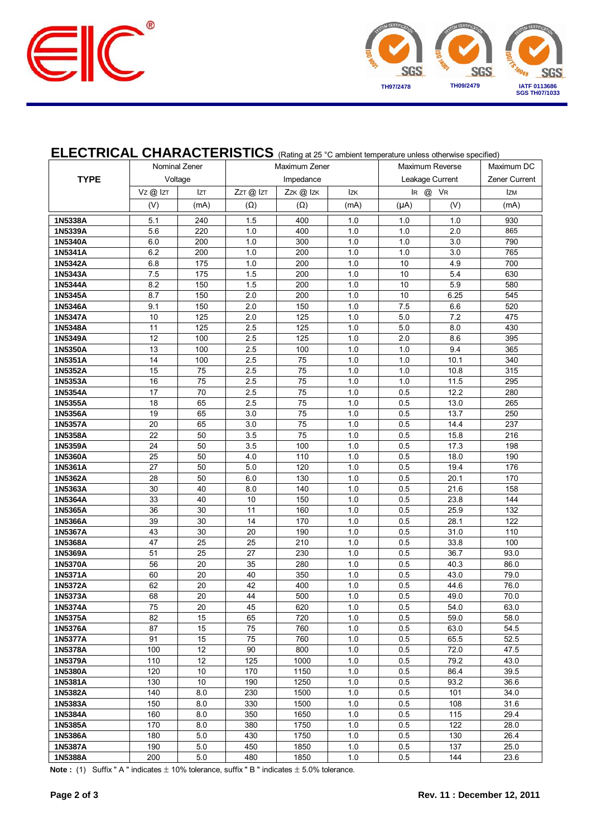



## **ELECTRICAL CHARACTERISTICS** (Rating at 25 °C ambient temperature unless otherwise specified)

|                    | Nominal Zener |            | Maximum Zener |            |            | Maximum Reverse |              | Maximum DC    |
|--------------------|---------------|------------|---------------|------------|------------|-----------------|--------------|---------------|
| <b>TYPE</b>        | Voltage       |            | Impedance     |            |            | Leakage Current |              | Zener Current |
|                    | Vz@lzt        | <b>IzT</b> | ZzT @ IzT     | Zzk@lzk    | <b>Izk</b> | IR @ VR         |              | <b>IZM</b>    |
|                    | (V)           | (mA)       | $(\Omega)$    | $(\Omega)$ | (mA)       | $(\mu A)$       | (V)          | (mA)          |
| 1N5338A            | 5.1           | 240        | 1.5           | 400        | 1.0        | 1.0             | 1.0          | 930           |
| 1N5339A            | 5.6           | 220        | 1.0           | 400        | 1.0        | 1.0             | 2.0          | 865           |
| 1N5340A            | 6.0           | 200        | 1.0           | 300        | 1.0        | 1.0             | $3.0\,$      | 790           |
| 1N5341A            | 6.2           | 200        | 1.0           | 200        | 1.0        | 1.0             | 3.0          | 765           |
| 1N5342A            | 6.8           | 175        | 1.0           | 200        | 1.0        | 10              | 4.9          | 700           |
| 1N5343A            | 7.5           | 175        | 1.5           | 200        | 1.0        | $10$            | 5.4          | 630           |
| 1N5344A            | 8.2           | 150        | 1.5           | 200        | 1.0        | $10$            | 5.9          | 580           |
| 1N5345A            | 8.7           | 150        | 2.0           | 200        | 1.0        | $10$            | 6.25         | 545           |
| 1N5346A            | 9.1           | 150        | 2.0           | 150        | 1.0        | 7.5             | 6.6          | 520           |
| 1N5347A            | 10            | 125        | 2.0           | 125        | 1.0        | 5.0             | 7.2          | 475           |
| 1N5348A            | 11            | 125        | 2.5           | 125        | 1.0        | 5.0             | 8.0          | 430           |
| 1N5349A            | 12            | 100        | 2.5           | 125        | 1.0        | 2.0             | 8.6          | 395           |
| 1N5350A            | 13            | 100        | 2.5           | 100        | 1.0        | 1.0             | 9.4          | 365           |
| 1N5351A            | 14            | 100        | 2.5           | 75         | 1.0        | 1.0             | 10.1         | 340           |
| 1N5352A            | 15            | 75         | 2.5           | 75         | 1.0        | 1.0             | 10.8         | 315           |
| 1N5353A            | 16            | 75         | 2.5           | 75         | 1.0        | 1.0             | 11.5         | 295           |
| 1N5354A            | 17            | 70         | 2.5           | ${\bf 75}$ | 1.0        | 0.5             | 12.2         | 280           |
| 1N5355A            | 18            | 65         | 2.5           | 75         | 1.0        | 0.5             | 13.0         | 265           |
| 1N5356A            | 19            | 65         | 3.0           | 75         | 1.0        | 0.5             | 13.7         | 250           |
| 1N5357A            | 20<br>22      | 65<br>50   | 3.0<br>3.5    | 75<br>75   | 1.0        | 0.5<br>0.5      | 14.4<br>15.8 | 237           |
| 1N5358A<br>1N5359A | 24            | 50         | 3.5           | 100        | 1.0<br>1.0 | 0.5             | 17.3         | 216<br>198    |
| 1N5360A            | 25            | 50         | 4.0           | 110        | 1.0        | 0.5             | 18.0         | 190           |
| 1N5361A            | 27            | 50         | 5.0           | 120        | 1.0        | 0.5             | 19.4         | 176           |
| 1N5362A            | 28            | 50         | 6.0           | 130        | 1.0        | 0.5             | 20.1         | 170           |
| 1N5363A            | 30            | 40         | 8.0           | 140        | 1.0        | 0.5             | 21.6         | 158           |
| 1N5364A            | 33            | 40         | 10            | 150        | 1.0        | 0.5             | 23.8         | 144           |
| 1N5365A            | 36            | 30         | 11            | 160        | 1.0        | 0.5             | 25.9         | 132           |
| 1N5366A            | 39            | 30         | 14            | 170        | 1.0        | 0.5             | 28.1         | 122           |
| 1N5367A            | 43            | 30         | 20            | 190        | 1.0        | 0.5             | 31.0         | 110           |
| 1N5368A            | 47            | 25         | 25            | 210        | 1.0        | 0.5             | 33.8         | 100           |
| 1N5369A            | 51            | 25         | 27            | 230        | 1.0        | 0.5             | 36.7         | 93.0          |
| 1N5370A            | 56            | 20         | 35            | 280        | 1.0        | 0.5             | 40.3         | 86.0          |
| 1N5371A            | 60            | 20         | 40            | 350        | 1.0        | 0.5             | 43.0         | 79.0          |
| 1N5372A            | 62            | 20         | 42            | 400        | 1.0        | 0.5             | 44.6         | 76.0          |
| 1N5373A            | 68            | 20         | 44            | 500        | 1.0        | 0.5             | 49.0         | 70.0          |
| 1N5374A            | 75            | 20         | 45            | 620        | 1.0        | 0.5             | 54.0         | 63.0          |
| 1N5375A            | 82            | 15         | 65            | 720        | 1.0        | 0.5             | 59.0         | 58.0          |
| 1N5376A            | 87            | 15         | 75            | 760        | 1.0        | 0.5             | 63.0         | 54.5          |
| 1N5377A            | 91            | 15         | 75            | 760        | 1.0        | 0.5             | 65.5         | 52.5          |
| 1N5378A            | 100           | 12         | 90            | 800        | 1.0        | 0.5             | 72.0         | 47.5          |
| 1N5379A            | 110           | 12         | 125           | 1000       | 1.0        | 0.5             | 79.2         | 43.0          |
| 1N5380A            | 120           | 10         | 170           | 1150       | 1.0        | 0.5             | 86.4         | 39.5          |
| 1N5381A            | 130           | 10         | 190           | 1250       | 1.0        | 0.5             | 93.2         | 36.6          |
| 1N5382A            | 140           | 8.0        | 230           | 1500       | 1.0        | 0.5             | 101          | 34.0          |
| 1N5383A            | 150           | 8.0        | 330           | 1500       | 1.0        | 0.5             | 108          | 31.6          |
| 1N5384A            | 160           | 8.0        | 350           | 1650       | 1.0        | 0.5             | 115          | 29.4          |
| 1N5385A            | 170           | 8.0        | 380           | 1750       | 1.0        | 0.5             | 122          | 28.0          |
| 1N5386A            | 180           | 5.0        | 430           | 1750       | 1.0        | 0.5             | 130          | 26.4          |
| 1N5387A            | 190           | 5.0        | 450           | 1850       | 1.0        | 0.5             | 137          | 25.0          |
| 1N5388A            | 200           | 5.0        | 480           | 1850       | 1.0        | 0.5             | 144          | 23.6          |

**Note :** (1) Suffix " A " indicates  $\pm$  10% tolerance, suffix " B " indicates  $\pm$  5.0% tolerance.